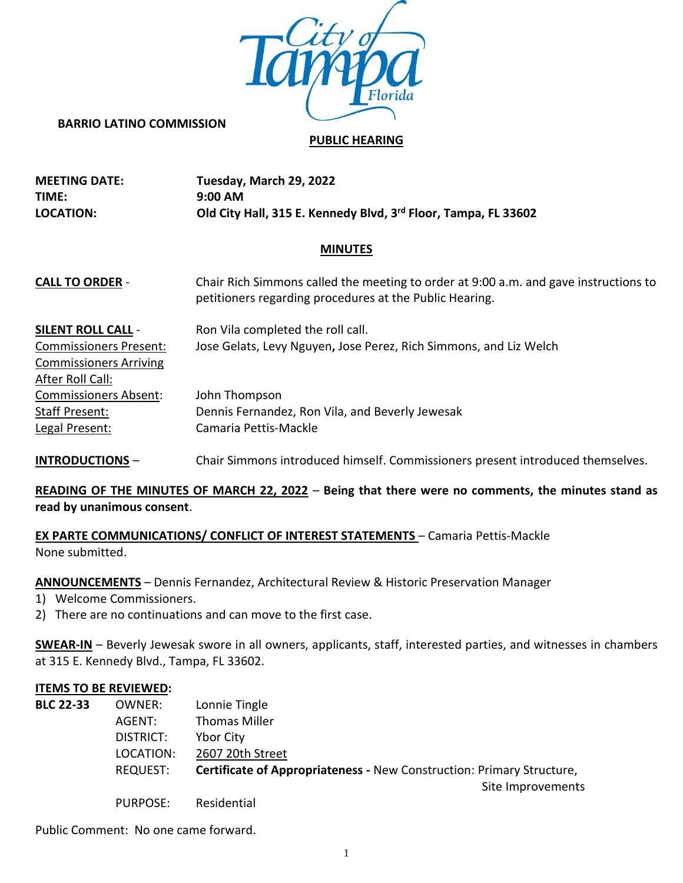

#### **BARRIO LATINO COMMISSION**

### **PUBLIC HEARING**

| <b>MEETING DATE:</b> | Tuesday, March 29, 2022                                        |
|----------------------|----------------------------------------------------------------|
| TIME:                | $9:00$ AM                                                      |
| <b>LOCATION:</b>     | Old City Hall, 315 E. Kennedy Blvd, 3rd Floor, Tampa, FL 33602 |

### **MINUTES**

| <b>CALL TO ORDER -</b>        | Chair Rich Simmons called the meeting to order at 9:00 a.m. and gave instructions to<br>petitioners regarding procedures at the Public Hearing. |
|-------------------------------|-------------------------------------------------------------------------------------------------------------------------------------------------|
| <b>SILENT ROLL CALL -</b>     | Ron Vila completed the roll call.                                                                                                               |
| <b>Commissioners Present:</b> | Jose Gelats, Levy Nguyen, Jose Perez, Rich Simmons, and Liz Welch                                                                               |
| <b>Commissioners Arriving</b> |                                                                                                                                                 |
| After Roll Call:              |                                                                                                                                                 |
| <b>Commissioners Absent:</b>  | John Thompson                                                                                                                                   |
| Staff Present:                | Dennis Fernandez, Ron Vila, and Beverly Jewesak                                                                                                 |
| Legal Present:                | Camaria Pettis-Mackle                                                                                                                           |
|                               |                                                                                                                                                 |

**INTRODUCTIONS** – Chair Simmons introduced himself. Commissioners present introduced themselves.

# **READING OF THE MINUTES OF MARCH 22, 2022** – **Being that there were no comments, the minutes stand as read by unanimous consent**.

**EX PARTE COMMUNICATIONS/ CONFLICT OF INTEREST STATEMENTS** – Camaria Pettis-Mackle None submitted.

**ANNOUNCEMENTS** – Dennis Fernandez, Architectural Review & Historic Preservation Manager

- 1) Welcome Commissioners.
- 2) There are no continuations and can move to the first case.

**SWEAR-IN** – Beverly Jewesak swore in all owners, applicants, staff, interested parties, and witnesses in chambers at 315 E. Kennedy Blvd., Tampa, FL 33602.

#### **ITEMS TO BE REVIEWED:**

| <b>BLC 22-33</b> | OWNER:    | Lonnie Tingle                                                         |
|------------------|-----------|-----------------------------------------------------------------------|
|                  | AGENT:    | <b>Thomas Miller</b>                                                  |
|                  | DISTRICT: | <b>Ybor City</b>                                                      |
|                  | LOCATION: | 2607 20th Street                                                      |
|                  | REQUEST:  | Certificate of Appropriateness - New Construction: Primary Structure, |
|                  |           | Site Improvements                                                     |
|                  | PURPOSE:  | Residential                                                           |

Public Comment: No one came forward.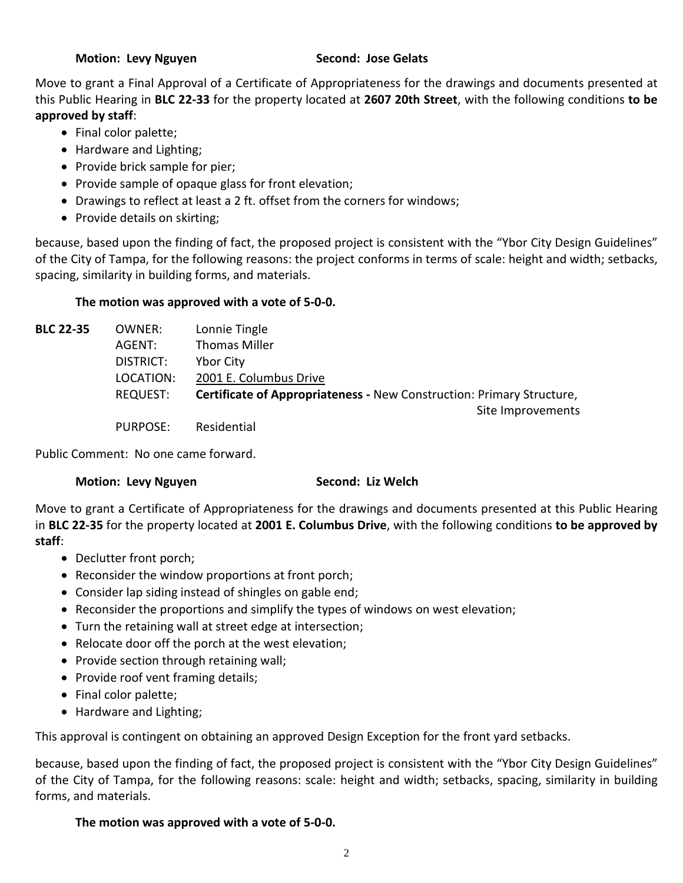Move to grant a Final Approval of a Certificate of Appropriateness for the drawings and documents presented at this Public Hearing in **BLC 22-33** for the property located at **2607 20th Street**, with the following conditions **to be approved by staff**:

- Final color palette;
- Hardware and Lighting;
- Provide brick sample for pier;
- Provide sample of opaque glass for front elevation;
- Drawings to reflect at least a 2 ft. offset from the corners for windows;
- Provide details on skirting;

because, based upon the finding of fact, the proposed project is consistent with the "Ybor City Design Guidelines" of the City of Tampa, for the following reasons: the project conforms in terms of scale: height and width; setbacks, spacing, similarity in building forms, and materials.

# **The motion was approved with a vote of 5-0-0.**

| <b>BLC 22-35</b> | OWNER:          | Lonnie Tingle                                                         |
|------------------|-----------------|-----------------------------------------------------------------------|
|                  | AGENT:          | <b>Thomas Miller</b>                                                  |
|                  | DISTRICT:       | <b>Ybor City</b>                                                      |
|                  | LOCATION:       | 2001 E. Columbus Drive                                                |
|                  | <b>REQUEST:</b> | Certificate of Appropriateness - New Construction: Primary Structure, |
|                  |                 | Site Improvements                                                     |
|                  |                 | $D \cup D \cap C \cap T$ $D \cup J \cup J \cup J$                     |

PURPOSE: Residential

Public Comment: No one came forward.

# **Motion: Levy Nguyen Second: Liz Welch**

Move to grant a Certificate of Appropriateness for the drawings and documents presented at this Public Hearing in **BLC 22-35** for the property located at **2001 E. Columbus Drive**, with the following conditions **to be approved by staff**:

- Declutter front porch;
- Reconsider the window proportions at front porch;
- Consider lap siding instead of shingles on gable end;
- Reconsider the proportions and simplify the types of windows on west elevation;
- Turn the retaining wall at street edge at intersection;
- Relocate door off the porch at the west elevation;
- Provide section through retaining wall;
- Provide roof vent framing details;
- Final color palette;
- Hardware and Lighting;

This approval is contingent on obtaining an approved Design Exception for the front yard setbacks.

because, based upon the finding of fact, the proposed project is consistent with the "Ybor City Design Guidelines" of the City of Tampa, for the following reasons: scale: height and width; setbacks, spacing, similarity in building forms, and materials.

# **The motion was approved with a vote of 5-0-0.**